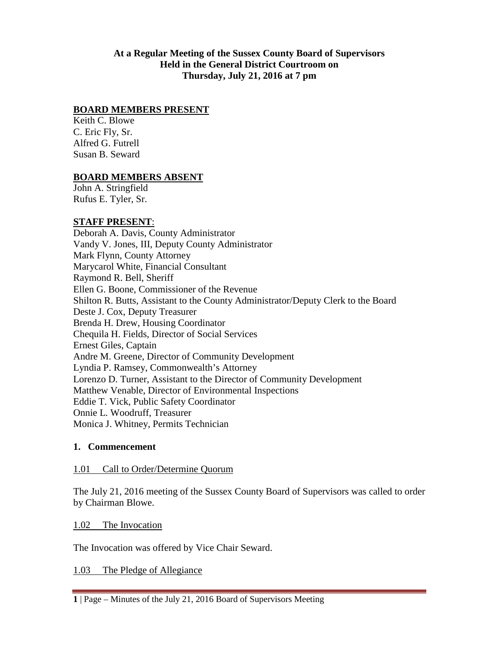**At a Regular Meeting of the Sussex County Board of Supervisors Held in the General District Courtroom on Thursday, July 21, 2016 at 7 pm**

#### **BOARD MEMBERS PRESENT**

Keith C. Blowe C. Eric Fly, Sr. Alfred G. Futrell Susan B. Seward

#### **BOARD MEMBERS ABSENT**

John A. Stringfield Rufus E. Tyler, Sr.

#### **STAFF PRESENT**:

Deborah A. Davis, County Administrator Vandy V. Jones, III, Deputy County Administrator Mark Flynn, County Attorney Marycarol White, Financial Consultant Raymond R. Bell, Sheriff Ellen G. Boone, Commissioner of the Revenue Shilton R. Butts, Assistant to the County Administrator/Deputy Clerk to the Board Deste J. Cox, Deputy Treasurer Brenda H. Drew, Housing Coordinator Chequila H. Fields, Director of Social Services Ernest Giles, Captain Andre M. Greene, Director of Community Development Lyndia P. Ramsey, Commonwealth's Attorney Lorenzo D. Turner, Assistant to the Director of Community Development Matthew Venable, Director of Environmental Inspections Eddie T. Vick, Public Safety Coordinator Onnie L. Woodruff, Treasurer Monica J. Whitney, Permits Technician

#### **1. Commencement**

#### 1.01 Call to Order/Determine Quorum

The July 21, 2016 meeting of the Sussex County Board of Supervisors was called to order by Chairman Blowe.

1.02 The Invocation

The Invocation was offered by Vice Chair Seward.

1.03 The Pledge of Allegiance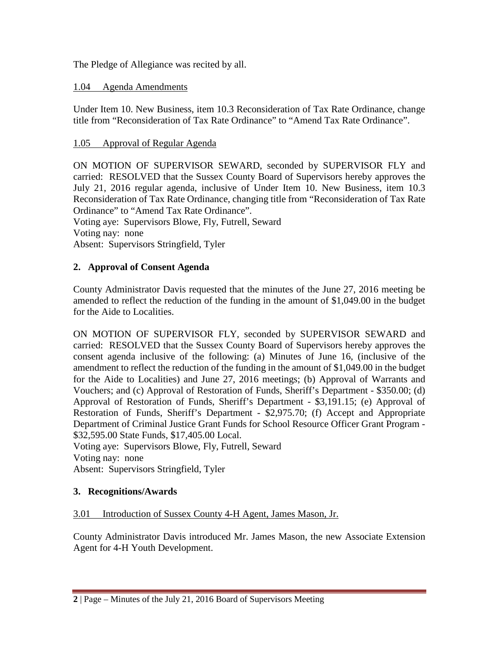The Pledge of Allegiance was recited by all.

### 1.04 Agenda Amendments

Under Item 10. New Business, item 10.3 Reconsideration of Tax Rate Ordinance, change title from "Reconsideration of Tax Rate Ordinance" to "Amend Tax Rate Ordinance".

## 1.05 Approval of Regular Agenda

ON MOTION OF SUPERVISOR SEWARD, seconded by SUPERVISOR FLY and carried: RESOLVED that the Sussex County Board of Supervisors hereby approves the July 21, 2016 regular agenda, inclusive of Under Item 10. New Business, item 10.3 Reconsideration of Tax Rate Ordinance, changing title from "Reconsideration of Tax Rate Ordinance" to "Amend Tax Rate Ordinance". Voting aye: Supervisors Blowe, Fly, Futrell, Seward

Voting nay: none

Absent: Supervisors Stringfield, Tyler

# **2. Approval of Consent Agenda**

County Administrator Davis requested that the minutes of the June 27, 2016 meeting be amended to reflect the reduction of the funding in the amount of \$1,049.00 in the budget for the Aide to Localities.

ON MOTION OF SUPERVISOR FLY, seconded by SUPERVISOR SEWARD and carried: RESOLVED that the Sussex County Board of Supervisors hereby approves the consent agenda inclusive of the following: (a) Minutes of June 16, (inclusive of the amendment to reflect the reduction of the funding in the amount of \$1,049.00 in the budget for the Aide to Localities) and June 27, 2016 meetings; (b) Approval of Warrants and Vouchers; and (c) Approval of Restoration of Funds, Sheriff's Department - \$350.00; (d) Approval of Restoration of Funds, Sheriff's Department - \$3,191.15; (e) Approval of Restoration of Funds, Sheriff's Department - \$2,975.70; (f) Accept and Appropriate Department of Criminal Justice Grant Funds for School Resource Officer Grant Program - \$32,595.00 State Funds, \$17,405.00 Local.

Voting aye: Supervisors Blowe, Fly, Futrell, Seward Voting nay: none Absent: Supervisors Stringfield, Tyler

### **3. Recognitions/Awards**

### 3.01 Introduction of Sussex County 4-H Agent, James Mason, Jr.

County Administrator Davis introduced Mr. James Mason, the new Associate Extension Agent for 4-H Youth Development.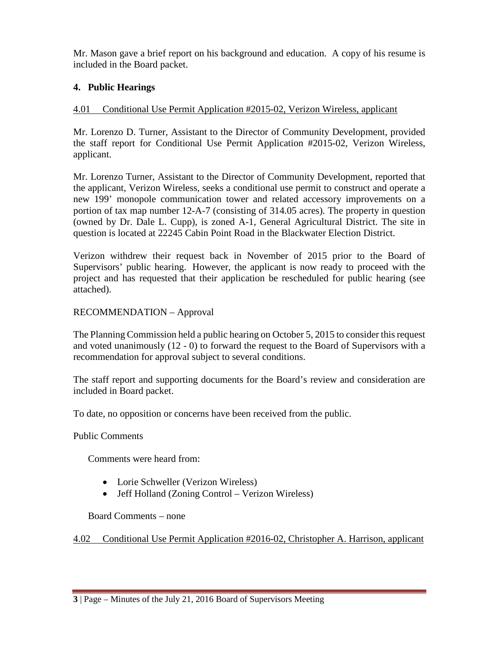Mr. Mason gave a brief report on his background and education. A copy of his resume is included in the Board packet.

## **4. Public Hearings**

### 4.01 Conditional Use Permit Application #2015-02, Verizon Wireless, applicant

Mr. Lorenzo D. Turner, Assistant to the Director of Community Development, provided the staff report for Conditional Use Permit Application #2015-02, Verizon Wireless, applicant.

Mr. Lorenzo Turner, Assistant to the Director of Community Development, reported that the applicant, Verizon Wireless, seeks a conditional use permit to construct and operate a new 199' monopole communication tower and related accessory improvements on a portion of tax map number 12-A-7 (consisting of 314.05 acres). The property in question (owned by Dr. Dale L. Cupp), is zoned A-1, General Agricultural District. The site in question is located at 22245 Cabin Point Road in the Blackwater Election District.

Verizon withdrew their request back in November of 2015 prior to the Board of Supervisors' public hearing. However, the applicant is now ready to proceed with the project and has requested that their application be rescheduled for public hearing (see attached).

### RECOMMENDATION – Approval

The Planning Commission held a public hearing on October 5, 2015 to consider this request and voted unanimously (12 - 0) to forward the request to the Board of Supervisors with a recommendation for approval subject to several conditions.

The staff report and supporting documents for the Board's review and consideration are included in Board packet.

To date, no opposition or concerns have been received from the public.

Public Comments

Comments were heard from:

- Lorie Schweller (Verizon Wireless)
- Jeff Holland (Zoning Control Verizon Wireless)

Board Comments – none

4.02 Conditional Use Permit Application #2016-02, Christopher A. Harrison, applicant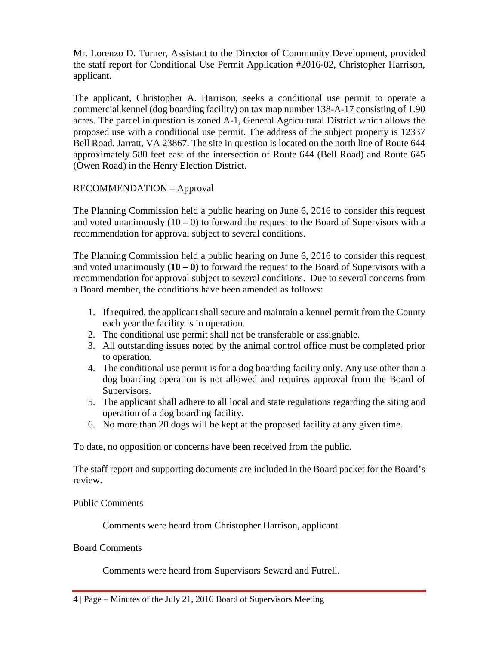Mr. Lorenzo D. Turner, Assistant to the Director of Community Development, provided the staff report for Conditional Use Permit Application #2016-02, Christopher Harrison, applicant.

The applicant, Christopher A. Harrison, seeks a conditional use permit to operate a commercial kennel (dog boarding facility) on tax map number 138-A-17 consisting of 1.90 acres. The parcel in question is zoned A-1, General Agricultural District which allows the proposed use with a conditional use permit. The address of the subject property is 12337 Bell Road, Jarratt, VA 23867. The site in question is located on the north line of Route 644 approximately 580 feet east of the intersection of Route 644 (Bell Road) and Route 645 (Owen Road) in the Henry Election District.

## RECOMMENDATION – Approval

The Planning Commission held a public hearing on June 6, 2016 to consider this request and voted unanimously  $(10 - 0)$  to forward the request to the Board of Supervisors with a recommendation for approval subject to several conditions.

The Planning Commission held a public hearing on June 6, 2016 to consider this request and voted unanimously **(10 – 0)** to forward the request to the Board of Supervisors with a recommendation for approval subject to several conditions. Due to several concerns from a Board member, the conditions have been amended as follows:

- 1. If required, the applicant shall secure and maintain a kennel permit from the County each year the facility is in operation.
- 2. The conditional use permit shall not be transferable or assignable.
- 3. All outstanding issues noted by the animal control office must be completed prior to operation.
- 4. The conditional use permit is for a dog boarding facility only. Any use other than a dog boarding operation is not allowed and requires approval from the Board of Supervisors.
- 5. The applicant shall adhere to all local and state regulations regarding the siting and operation of a dog boarding facility.
- 6. No more than 20 dogs will be kept at the proposed facility at any given time.

To date, no opposition or concerns have been received from the public.

The staff report and supporting documents are included in the Board packet for the Board's review.

Public Comments

Comments were heard from Christopher Harrison, applicant

### Board Comments

Comments were heard from Supervisors Seward and Futrell.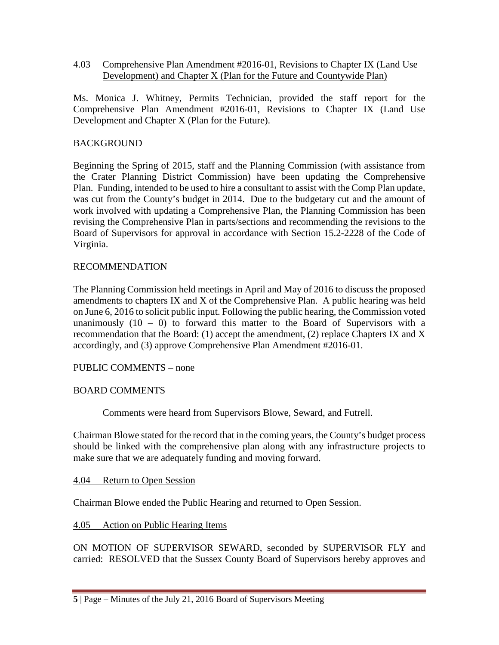#### 4.03 Comprehensive Plan Amendment #2016-01, Revisions to Chapter IX (Land Use Development) and Chapter X (Plan for the Future and Countywide Plan)

Ms. Monica J. Whitney, Permits Technician, provided the staff report for the Comprehensive Plan Amendment #2016-01, Revisions to Chapter IX (Land Use Development and Chapter X (Plan for the Future).

## BACKGROUND

Beginning the Spring of 2015, staff and the Planning Commission (with assistance from the Crater Planning District Commission) have been updating the Comprehensive Plan. Funding, intended to be used to hire a consultant to assist with the Comp Plan update, was cut from the County's budget in 2014. Due to the budgetary cut and the amount of work involved with updating a Comprehensive Plan, the Planning Commission has been revising the Comprehensive Plan in parts/sections and recommending the revisions to the Board of Supervisors for approval in accordance with Section 15.2-2228 of the Code of Virginia.

### RECOMMENDATION

The Planning Commission held meetings in April and May of 2016 to discuss the proposed amendments to chapters IX and X of the Comprehensive Plan. A public hearing was held on June 6, 2016 to solicit public input. Following the public hearing, the Commission voted unanimously  $(10 - 0)$  to forward this matter to the Board of Supervisors with a recommendation that the Board: (1) accept the amendment, (2) replace Chapters IX and X accordingly, and (3) approve Comprehensive Plan Amendment #2016-01.

### PUBLIC COMMENTS – none

### BOARD COMMENTS

Comments were heard from Supervisors Blowe, Seward, and Futrell.

Chairman Blowe stated for the record that in the coming years, the County's budget process should be linked with the comprehensive plan along with any infrastructure projects to make sure that we are adequately funding and moving forward.

4.04 Return to Open Session

Chairman Blowe ended the Public Hearing and returned to Open Session.

### 4.05 Action on Public Hearing Items

ON MOTION OF SUPERVISOR SEWARD, seconded by SUPERVISOR FLY and carried: RESOLVED that the Sussex County Board of Supervisors hereby approves and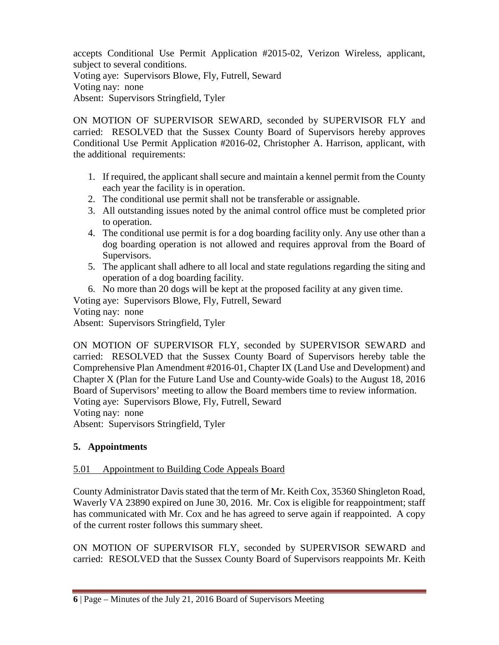accepts Conditional Use Permit Application #2015-02, Verizon Wireless, applicant, subject to several conditions. Voting aye: Supervisors Blowe, Fly, Futrell, Seward Voting nay: none Absent: Supervisors Stringfield, Tyler

ON MOTION OF SUPERVISOR SEWARD, seconded by SUPERVISOR FLY and carried: RESOLVED that the Sussex County Board of Supervisors hereby approves Conditional Use Permit Application #2016-02, Christopher A. Harrison, applicant, with the additional requirements:

- 1. If required, the applicant shall secure and maintain a kennel permit from the County each year the facility is in operation.
- 2. The conditional use permit shall not be transferable or assignable.
- 3. All outstanding issues noted by the animal control office must be completed prior to operation.
- 4. The conditional use permit is for a dog boarding facility only. Any use other than a dog boarding operation is not allowed and requires approval from the Board of Supervisors.
- 5. The applicant shall adhere to all local and state regulations regarding the siting and operation of a dog boarding facility.
- 6. No more than 20 dogs will be kept at the proposed facility at any given time.

Voting aye: Supervisors Blowe, Fly, Futrell, Seward

Voting nay: none

Absent: Supervisors Stringfield, Tyler

ON MOTION OF SUPERVISOR FLY, seconded by SUPERVISOR SEWARD and carried: RESOLVED that the Sussex County Board of Supervisors hereby table the Comprehensive Plan Amendment #2016-01, Chapter IX (Land Use and Development) and Chapter X (Plan for the Future Land Use and County-wide Goals) to the August 18, 2016 Board of Supervisors' meeting to allow the Board members time to review information. Voting aye: Supervisors Blowe, Fly, Futrell, Seward

Voting nay: none

Absent: Supervisors Stringfield, Tyler

# **5. Appointments**

# 5.01 Appointment to Building Code Appeals Board

County Administrator Davis stated that the term of Mr. Keith Cox, 35360 Shingleton Road, Waverly VA 23890 expired on June 30, 2016. Mr. Cox is eligible for reappointment; staff has communicated with Mr. Cox and he has agreed to serve again if reappointed. A copy of the current roster follows this summary sheet.

ON MOTION OF SUPERVISOR FLY, seconded by SUPERVISOR SEWARD and carried: RESOLVED that the Sussex County Board of Supervisors reappoints Mr. Keith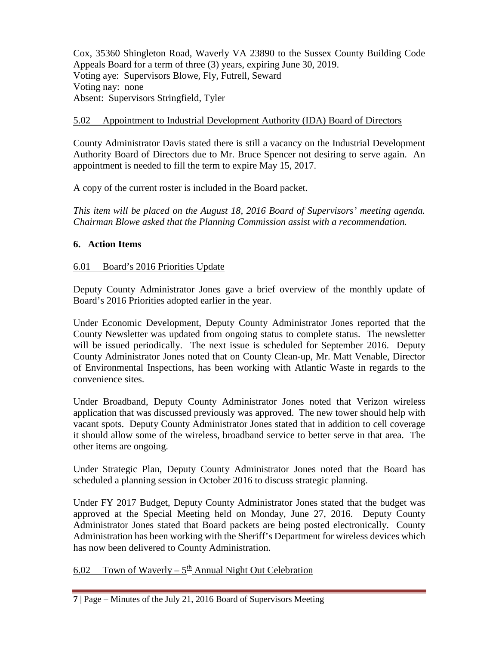Cox, 35360 Shingleton Road, Waverly VA 23890 to the Sussex County Building Code Appeals Board for a term of three (3) years, expiring June 30, 2019. Voting aye: Supervisors Blowe, Fly, Futrell, Seward Voting nay: none Absent: Supervisors Stringfield, Tyler

#### 5.02 Appointment to Industrial Development Authority (IDA) Board of Directors

County Administrator Davis stated there is still a vacancy on the Industrial Development Authority Board of Directors due to Mr. Bruce Spencer not desiring to serve again. An appointment is needed to fill the term to expire May 15, 2017.

A copy of the current roster is included in the Board packet.

*This item will be placed on the August 18, 2016 Board of Supervisors' meeting agenda. Chairman Blowe asked that the Planning Commission assist with a recommendation.*

#### **6. Action Items**

#### 6.01 Board's 2016 Priorities Update

Deputy County Administrator Jones gave a brief overview of the monthly update of Board's 2016 Priorities adopted earlier in the year.

Under Economic Development, Deputy County Administrator Jones reported that the County Newsletter was updated from ongoing status to complete status. The newsletter will be issued periodically. The next issue is scheduled for September 2016. Deputy County Administrator Jones noted that on County Clean-up, Mr. Matt Venable, Director of Environmental Inspections, has been working with Atlantic Waste in regards to the convenience sites.

Under Broadband, Deputy County Administrator Jones noted that Verizon wireless application that was discussed previously was approved. The new tower should help with vacant spots. Deputy County Administrator Jones stated that in addition to cell coverage it should allow some of the wireless, broadband service to better serve in that area. The other items are ongoing.

Under Strategic Plan, Deputy County Administrator Jones noted that the Board has scheduled a planning session in October 2016 to discuss strategic planning.

Under FY 2017 Budget, Deputy County Administrator Jones stated that the budget was approved at the Special Meeting held on Monday, June 27, 2016. Deputy County Administrator Jones stated that Board packets are being posted electronically. County Administration has been working with the Sheriff's Department for wireless devices which has now been delivered to County Administration.

6.02 Town of Waverly –  $5^{\text{th}}$  Annual Night Out Celebration

**<sup>7</sup>** | Page – Minutes of the July 21, 2016 Board of Supervisors Meeting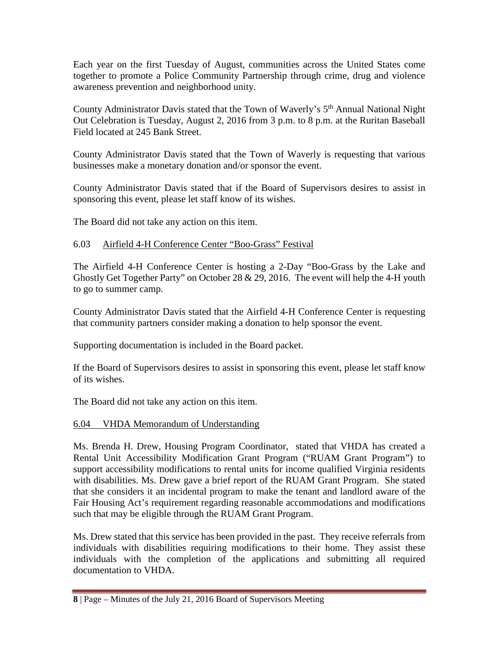Each year on the first Tuesday of August, communities across the United States come together to promote a Police Community Partnership through crime, drug and violence awareness prevention and neighborhood unity.

County Administrator Davis stated that the Town of Waverly's 5<sup>th</sup> Annual National Night Out Celebration is Tuesday, August 2, 2016 from 3 p.m. to 8 p.m. at the Ruritan Baseball Field located at 245 Bank Street.

County Administrator Davis stated that the Town of Waverly is requesting that various businesses make a monetary donation and/or sponsor the event.

County Administrator Davis stated that if the Board of Supervisors desires to assist in sponsoring this event, please let staff know of its wishes.

The Board did not take any action on this item.

#### 6.03 Airfield 4-H Conference Center "Boo-Grass" Festival

The Airfield 4-H Conference Center is hosting a 2-Day "Boo-Grass by the Lake and Ghostly Get Together Party" on October 28  $& 29, 2016$ . The event will help the 4-H youth to go to summer camp.

County Administrator Davis stated that the Airfield 4-H Conference Center is requesting that community partners consider making a donation to help sponsor the event.

Supporting documentation is included in the Board packet.

If the Board of Supervisors desires to assist in sponsoring this event, please let staff know of its wishes.

The Board did not take any action on this item.

#### 6.04 VHDA Memorandum of Understanding

Ms. Brenda H. Drew, Housing Program Coordinator, stated that VHDA has created a Rental Unit Accessibility Modification Grant Program ("RUAM Grant Program") to support accessibility modifications to rental units for income qualified Virginia residents with disabilities. Ms. Drew gave a brief report of the RUAM Grant Program. She stated that she considers it an incidental program to make the tenant and landlord aware of the Fair Housing Act's requirement regarding reasonable accommodations and modifications such that may be eligible through the RUAM Grant Program.

Ms. Drew stated that this service has been provided in the past. They receive referrals from individuals with disabilities requiring modifications to their home. They assist these individuals with the completion of the applications and submitting all required documentation to VHDA.

**<sup>8</sup>** | Page – Minutes of the July 21, 2016 Board of Supervisors Meeting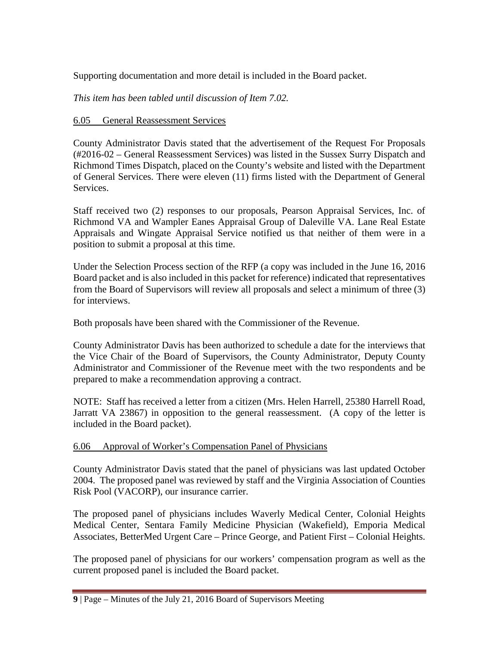Supporting documentation and more detail is included in the Board packet.

*This item has been tabled until discussion of Item 7.02.*

## 6.05 General Reassessment Services

County Administrator Davis stated that the advertisement of the Request For Proposals (#2016-02 – General Reassessment Services) was listed in the Sussex Surry Dispatch and Richmond Times Dispatch, placed on the County's website and listed with the Department of General Services. There were eleven (11) firms listed with the Department of General Services.

Staff received two (2) responses to our proposals, Pearson Appraisal Services, Inc. of Richmond VA and Wampler Eanes Appraisal Group of Daleville VA. Lane Real Estate Appraisals and Wingate Appraisal Service notified us that neither of them were in a position to submit a proposal at this time.

Under the Selection Process section of the RFP (a copy was included in the June 16, 2016 Board packet and is also included in this packet for reference) indicated that representatives from the Board of Supervisors will review all proposals and select a minimum of three (3) for interviews.

Both proposals have been shared with the Commissioner of the Revenue.

County Administrator Davis has been authorized to schedule a date for the interviews that the Vice Chair of the Board of Supervisors, the County Administrator, Deputy County Administrator and Commissioner of the Revenue meet with the two respondents and be prepared to make a recommendation approving a contract.

NOTE: Staff has received a letter from a citizen (Mrs. Helen Harrell, 25380 Harrell Road, Jarratt VA 23867) in opposition to the general reassessment. (A copy of the letter is included in the Board packet).

### 6.06 Approval of Worker's Compensation Panel of Physicians

County Administrator Davis stated that the panel of physicians was last updated October 2004. The proposed panel was reviewed by staff and the Virginia Association of Counties Risk Pool (VACORP), our insurance carrier.

The proposed panel of physicians includes Waverly Medical Center, Colonial Heights Medical Center, Sentara Family Medicine Physician (Wakefield), Emporia Medical Associates, BetterMed Urgent Care – Prince George, and Patient First – Colonial Heights.

The proposed panel of physicians for our workers' compensation program as well as the current proposed panel is included the Board packet.

**<sup>9</sup>** | Page – Minutes of the July 21, 2016 Board of Supervisors Meeting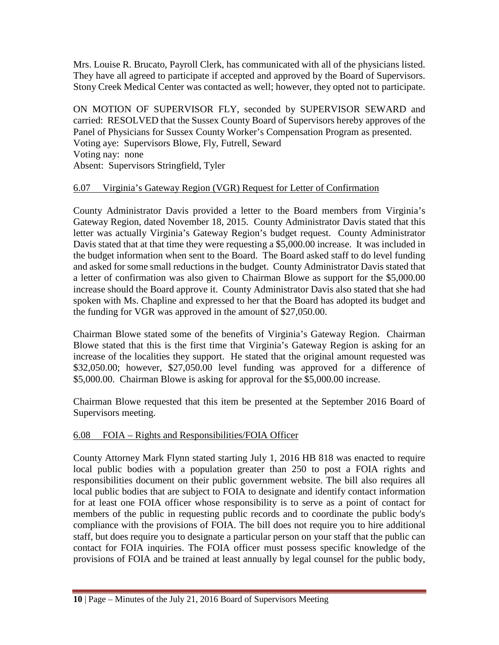Mrs. Louise R. Brucato, Payroll Clerk, has communicated with all of the physicians listed. They have all agreed to participate if accepted and approved by the Board of Supervisors. Stony Creek Medical Center was contacted as well; however, they opted not to participate.

ON MOTION OF SUPERVISOR FLY, seconded by SUPERVISOR SEWARD and carried: RESOLVED that the Sussex County Board of Supervisors hereby approves of the Panel of Physicians for Sussex County Worker's Compensation Program as presented. Voting aye: Supervisors Blowe, Fly, Futrell, Seward Voting nay: none Absent: Supervisors Stringfield, Tyler

## 6.07 Virginia's Gateway Region (VGR) Request for Letter of Confirmation

County Administrator Davis provided a letter to the Board members from Virginia's Gateway Region, dated November 18, 2015. County Administrator Davis stated that this letter was actually Virginia's Gateway Region's budget request. County Administrator Davis stated that at that time they were requesting a \$5,000.00 increase. It was included in the budget information when sent to the Board. The Board asked staff to do level funding and asked for some small reductions in the budget. County Administrator Davis stated that a letter of confirmation was also given to Chairman Blowe as support for the \$5,000.00 increase should the Board approve it. County Administrator Davis also stated that she had spoken with Ms. Chapline and expressed to her that the Board has adopted its budget and the funding for VGR was approved in the amount of \$27,050.00.

Chairman Blowe stated some of the benefits of Virginia's Gateway Region. Chairman Blowe stated that this is the first time that Virginia's Gateway Region is asking for an increase of the localities they support. He stated that the original amount requested was \$32,050.00; however, \$27,050.00 level funding was approved for a difference of \$5,000.00. Chairman Blowe is asking for approval for the \$5,000.00 increase.

Chairman Blowe requested that this item be presented at the September 2016 Board of Supervisors meeting.

# 6.08 FOIA – Rights and Responsibilities/FOIA Officer

County Attorney Mark Flynn stated starting July 1, 2016 HB 818 was enacted to require local public bodies with a population greater than 250 to post a FOIA rights and responsibilities document on their public government website. The bill also requires all local public bodies that are subject to FOIA to designate and identify contact information for at least one FOIA officer whose responsibility is to serve as a point of contact for members of the public in requesting public records and to coordinate the public body's compliance with the provisions of FOIA. The bill does not require you to hire additional staff, but does require you to designate a particular person on your staff that the public can contact for FOIA inquiries. The FOIA officer must possess specific knowledge of the provisions of FOIA and be trained at least annually by legal counsel for the public body,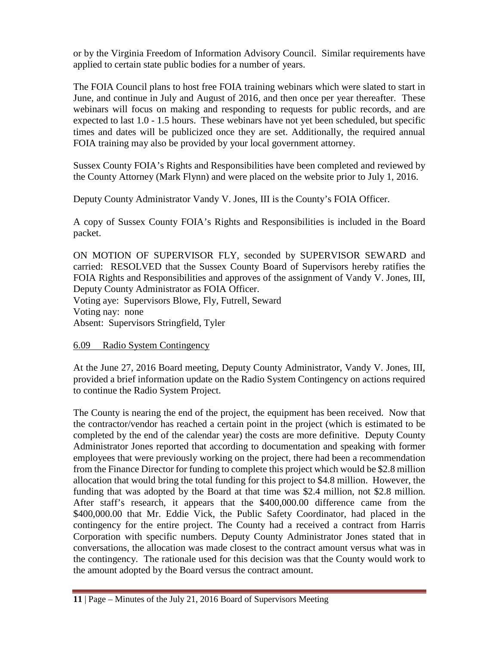or by the Virginia Freedom of Information Advisory Council. Similar requirements have applied to certain state public bodies for a number of years.

The FOIA Council plans to host free FOIA training webinars which were slated to start in June, and continue in July and August of 2016, and then once per year thereafter. These webinars will focus on making and responding to requests for public records, and are expected to last 1.0 - 1.5 hours. These webinars have not yet been scheduled, but specific times and dates will be publicized once they are set. Additionally, the required annual FOIA training may also be provided by your local government attorney.

Sussex County FOIA's Rights and Responsibilities have been completed and reviewed by the County Attorney (Mark Flynn) and were placed on the website prior to July 1, 2016.

Deputy County Administrator Vandy V. Jones, III is the County's FOIA Officer.

A copy of Sussex County FOIA's Rights and Responsibilities is included in the Board packet.

ON MOTION OF SUPERVISOR FLY, seconded by SUPERVISOR SEWARD and carried: RESOLVED that the Sussex County Board of Supervisors hereby ratifies the FOIA Rights and Responsibilities and approves of the assignment of Vandy V. Jones, III, Deputy County Administrator as FOIA Officer.

Voting aye: Supervisors Blowe, Fly, Futrell, Seward Voting nay: none Absent: Supervisors Stringfield, Tyler

# 6.09 Radio System Contingency

At the June 27, 2016 Board meeting, Deputy County Administrator, Vandy V. Jones, III, provided a brief information update on the Radio System Contingency on actions required to continue the Radio System Project.

The County is nearing the end of the project, the equipment has been received. Now that the contractor/vendor has reached a certain point in the project (which is estimated to be completed by the end of the calendar year) the costs are more definitive. Deputy County Administrator Jones reported that according to documentation and speaking with former employees that were previously working on the project, there had been a recommendation from the Finance Director for funding to complete this project which would be \$2.8 million allocation that would bring the total funding for this project to \$4.8 million. However, the funding that was adopted by the Board at that time was \$2.4 million, not \$2.8 million. After staff's research, it appears that the \$400,000.00 difference came from the \$400,000.00 that Mr. Eddie Vick, the Public Safety Coordinator, had placed in the contingency for the entire project. The County had a received a contract from Harris Corporation with specific numbers. Deputy County Administrator Jones stated that in conversations, the allocation was made closest to the contract amount versus what was in the contingency. The rationale used for this decision was that the County would work to the amount adopted by the Board versus the contract amount.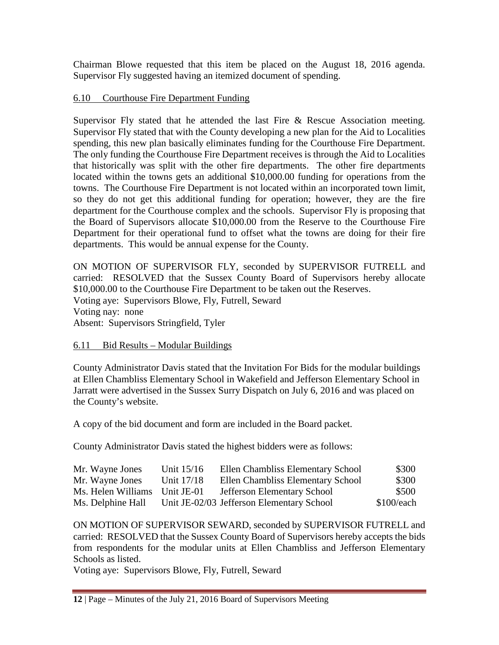Chairman Blowe requested that this item be placed on the August 18, 2016 agenda. Supervisor Fly suggested having an itemized document of spending.

### 6.10 Courthouse Fire Department Funding

Supervisor Fly stated that he attended the last Fire & Rescue Association meeting. Supervisor Fly stated that with the County developing a new plan for the Aid to Localities spending, this new plan basically eliminates funding for the Courthouse Fire Department. The only funding the Courthouse Fire Department receives is through the Aid to Localities that historically was split with the other fire departments. The other fire departments located within the towns gets an additional \$10,000.00 funding for operations from the towns. The Courthouse Fire Department is not located within an incorporated town limit, so they do not get this additional funding for operation; however, they are the fire department for the Courthouse complex and the schools. Supervisor Fly is proposing that the Board of Supervisors allocate \$10,000.00 from the Reserve to the Courthouse Fire Department for their operational fund to offset what the towns are doing for their fire departments. This would be annual expense for the County.

ON MOTION OF SUPERVISOR FLY, seconded by SUPERVISOR FUTRELL and carried: RESOLVED that the Sussex County Board of Supervisors hereby allocate \$10,000.00 to the Courthouse Fire Department to be taken out the Reserves. Voting aye: Supervisors Blowe, Fly, Futrell, Seward Voting nay: none Absent: Supervisors Stringfield, Tyler

### 6.11 Bid Results – Modular Buildings

County Administrator Davis stated that the Invitation For Bids for the modular buildings at Ellen Chambliss Elementary School in Wakefield and Jefferson Elementary School in Jarratt were advertised in the Sussex Surry Dispatch on July 6, 2016 and was placed on the County's website.

A copy of the bid document and form are included in the Board packet.

County Administrator Davis stated the highest bidders were as follows:

| Mr. Wayne Jones    | Unit 15/16 | Ellen Chambliss Elementary School         | \$300        |
|--------------------|------------|-------------------------------------------|--------------|
| Mr. Wayne Jones    | Unit 17/18 | Ellen Chambliss Elementary School         | \$300        |
| Ms. Helen Williams | Unit JE-01 | <b>Jefferson Elementary School</b>        | \$500        |
| Ms. Delphine Hall  |            | Unit JE-02/03 Jefferson Elementary School | $$100$ /each |

ON MOTION OF SUPERVISOR SEWARD, seconded by SUPERVISOR FUTRELL and carried: RESOLVED that the Sussex County Board of Supervisors hereby accepts the bids from respondents for the modular units at Ellen Chambliss and Jefferson Elementary Schools as listed.

Voting aye: Supervisors Blowe, Fly, Futrell, Seward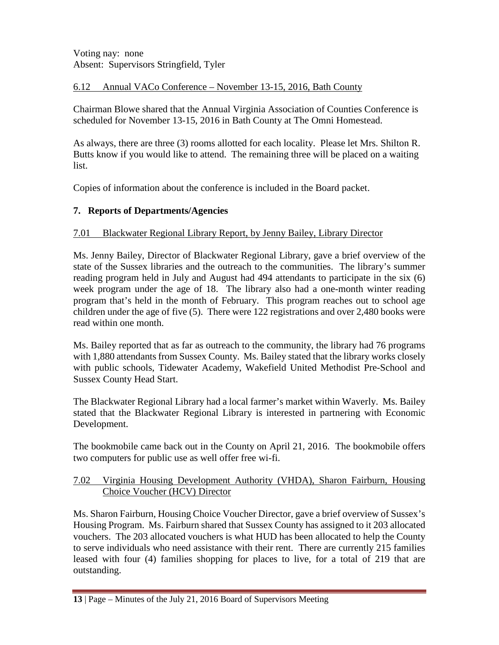Voting nay: none Absent: Supervisors Stringfield, Tyler

## 6.12 Annual VACo Conference – November 13-15, 2016, Bath County

Chairman Blowe shared that the Annual Virginia Association of Counties Conference is scheduled for November 13-15, 2016 in Bath County at The Omni Homestead.

As always, there are three (3) rooms allotted for each locality. Please let Mrs. Shilton R. Butts know if you would like to attend. The remaining three will be placed on a waiting list.

Copies of information about the conference is included in the Board packet.

# **7. Reports of Departments/Agencies**

## 7.01 Blackwater Regional Library Report, by Jenny Bailey, Library Director

Ms. Jenny Bailey, Director of Blackwater Regional Library, gave a brief overview of the state of the Sussex libraries and the outreach to the communities. The library's summer reading program held in July and August had 494 attendants to participate in the six (6) week program under the age of 18. The library also had a one-month winter reading program that's held in the month of February. This program reaches out to school age children under the age of five (5). There were 122 registrations and over 2,480 books were read within one month.

Ms. Bailey reported that as far as outreach to the community, the library had 76 programs with 1,880 attendants from Sussex County. Ms. Bailey stated that the library works closely with public schools, Tidewater Academy, Wakefield United Methodist Pre-School and Sussex County Head Start.

The Blackwater Regional Library had a local farmer's market within Waverly. Ms. Bailey stated that the Blackwater Regional Library is interested in partnering with Economic Development.

The bookmobile came back out in the County on April 21, 2016. The bookmobile offers two computers for public use as well offer free wi-fi.

### 7.02 Virginia Housing Development Authority (VHDA), Sharon Fairburn, Housing Choice Voucher (HCV) Director

Ms. Sharon Fairburn, Housing Choice Voucher Director, gave a brief overview of Sussex's Housing Program. Ms. Fairburn shared that Sussex County has assigned to it 203 allocated vouchers. The 203 allocated vouchers is what HUD has been allocated to help the County to serve individuals who need assistance with their rent. There are currently 215 families leased with four (4) families shopping for places to live, for a total of 219 that are outstanding.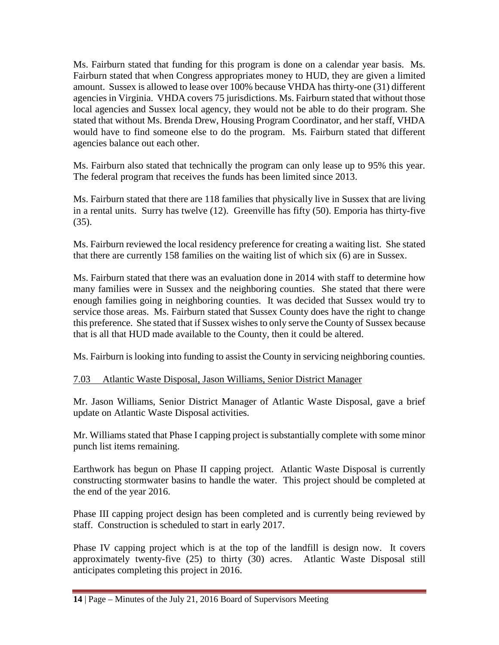Ms. Fairburn stated that funding for this program is done on a calendar year basis. Ms. Fairburn stated that when Congress appropriates money to HUD, they are given a limited amount. Sussex is allowed to lease over 100% because VHDA has thirty-one (31) different agencies in Virginia. VHDA covers 75 jurisdictions. Ms. Fairburn stated that without those local agencies and Sussex local agency, they would not be able to do their program. She stated that without Ms. Brenda Drew, Housing Program Coordinator, and her staff, VHDA would have to find someone else to do the program. Ms. Fairburn stated that different agencies balance out each other.

Ms. Fairburn also stated that technically the program can only lease up to 95% this year. The federal program that receives the funds has been limited since 2013.

Ms. Fairburn stated that there are 118 families that physically live in Sussex that are living in a rental units. Surry has twelve (12). Greenville has fifty (50). Emporia has thirty-five (35).

Ms. Fairburn reviewed the local residency preference for creating a waiting list. She stated that there are currently 158 families on the waiting list of which six (6) are in Sussex.

Ms. Fairburn stated that there was an evaluation done in 2014 with staff to determine how many families were in Sussex and the neighboring counties. She stated that there were enough families going in neighboring counties. It was decided that Sussex would try to service those areas. Ms. Fairburn stated that Sussex County does have the right to change this preference. She stated that if Sussex wishes to only serve the County of Sussex because that is all that HUD made available to the County, then it could be altered.

Ms. Fairburn is looking into funding to assist the County in servicing neighboring counties.

### 7.03 Atlantic Waste Disposal, Jason Williams, Senior District Manager

Mr. Jason Williams, Senior District Manager of Atlantic Waste Disposal, gave a brief update on Atlantic Waste Disposal activities.

Mr. Williams stated that Phase I capping project is substantially complete with some minor punch list items remaining.

Earthwork has begun on Phase II capping project. Atlantic Waste Disposal is currently constructing stormwater basins to handle the water. This project should be completed at the end of the year 2016.

Phase III capping project design has been completed and is currently being reviewed by staff. Construction is scheduled to start in early 2017.

Phase IV capping project which is at the top of the landfill is design now. It covers approximately twenty-five (25) to thirty (30) acres. Atlantic Waste Disposal still anticipates completing this project in 2016.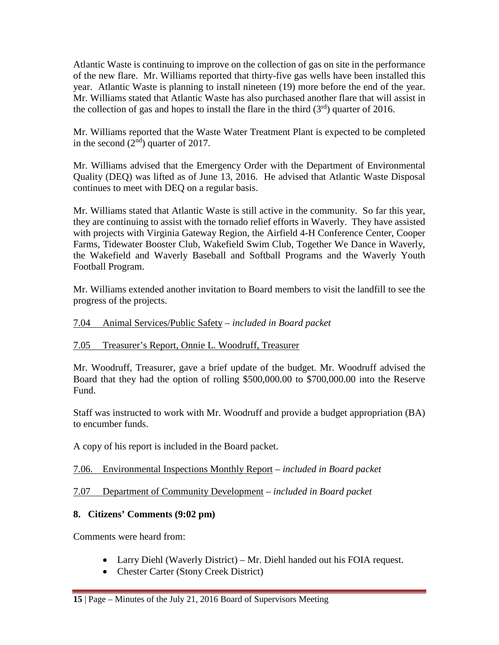Atlantic Waste is continuing to improve on the collection of gas on site in the performance of the new flare. Mr. Williams reported that thirty-five gas wells have been installed this year. Atlantic Waste is planning to install nineteen (19) more before the end of the year. Mr. Williams stated that Atlantic Waste has also purchased another flare that will assist in the collection of gas and hopes to install the flare in the third  $(3<sup>rd</sup>)$  quarter of 2016.

Mr. Williams reported that the Waste Water Treatment Plant is expected to be completed in the second  $(2<sup>nd</sup>)$  quarter of 2017.

Mr. Williams advised that the Emergency Order with the Department of Environmental Quality (DEQ) was lifted as of June 13, 2016. He advised that Atlantic Waste Disposal continues to meet with DEQ on a regular basis.

Mr. Williams stated that Atlantic Waste is still active in the community. So far this year, they are continuing to assist with the tornado relief efforts in Waverly. They have assisted with projects with Virginia Gateway Region, the Airfield 4-H Conference Center, Cooper Farms, Tidewater Booster Club, Wakefield Swim Club, Together We Dance in Waverly, the Wakefield and Waverly Baseball and Softball Programs and the Waverly Youth Football Program.

Mr. Williams extended another invitation to Board members to visit the landfill to see the progress of the projects.

## 7.04 Animal Services/Public Safety – *included in Board packet*

### 7.05 Treasurer's Report, Onnie L. Woodruff, Treasurer

Mr. Woodruff, Treasurer, gave a brief update of the budget. Mr. Woodruff advised the Board that they had the option of rolling \$500,000.00 to \$700,000.00 into the Reserve Fund.

Staff was instructed to work with Mr. Woodruff and provide a budget appropriation (BA) to encumber funds.

A copy of his report is included in the Board packet.

# 7.06. Environmental Inspections Monthly Report – *included in Board packet*

# 7.07 Department of Community Development – *included in Board packet*

# **8. Citizens' Comments (9:02 pm)**

Comments were heard from:

- Larry Diehl (Waverly District) Mr. Diehl handed out his FOIA request.
- Chester Carter (Stony Creek District)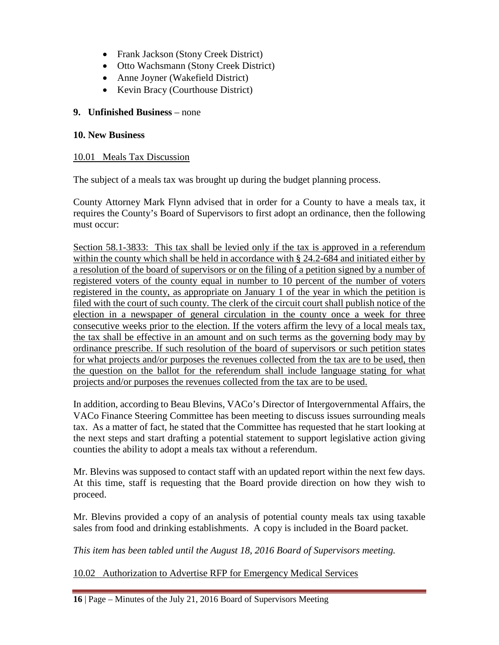- Frank Jackson (Stony Creek District)
- Otto Wachsmann (Stony Creek District)
- Anne Joyner (Wakefield District)
- Kevin Bracy (Courthouse District)

### **9. Unfinished Business** – none

### **10. New Business**

### 10.01 Meals Tax Discussion

The subject of a meals tax was brought up during the budget planning process.

County Attorney Mark Flynn advised that in order for a County to have a meals tax, it requires the County's Board of Supervisors to first adopt an ordinance, then the following must occur:

Section 58.1-3833: This tax shall be levied only if the tax is approved in a referendum within the county which shall be held in accordance with § 24.2-684 and initiated either by a resolution of the board of supervisors or on the filing of a petition signed by a number of registered voters of the county equal in number to 10 percent of the number of voters registered in the county, as appropriate on January 1 of the year in which the petition is filed with the court of such county. The clerk of the circuit court shall publish notice of the election in a newspaper of general circulation in the county once a week for three consecutive weeks prior to the election. If the voters affirm the levy of a local meals tax, the tax shall be effective in an amount and on such terms as the governing body may by ordinance prescribe. If such resolution of the board of supervisors or such petition states for what projects and/or purposes the revenues collected from the tax are to be used, then the question on the ballot for the referendum shall include language stating for what projects and/or purposes the revenues collected from the tax are to be used.

In addition, according to Beau Blevins, VACo's Director of Intergovernmental Affairs, the VACo Finance Steering Committee has been meeting to discuss issues surrounding meals tax. As a matter of fact, he stated that the Committee has requested that he start looking at the next steps and start drafting a potential statement to support legislative action giving counties the ability to adopt a meals tax without a referendum.

Mr. Blevins was supposed to contact staff with an updated report within the next few days. At this time, staff is requesting that the Board provide direction on how they wish to proceed.

Mr. Blevins provided a copy of an analysis of potential county meals tax using taxable sales from food and drinking establishments. A copy is included in the Board packet.

*This item has been tabled until the August 18, 2016 Board of Supervisors meeting.*

10.02 Authorization to Advertise RFP for Emergency Medical Services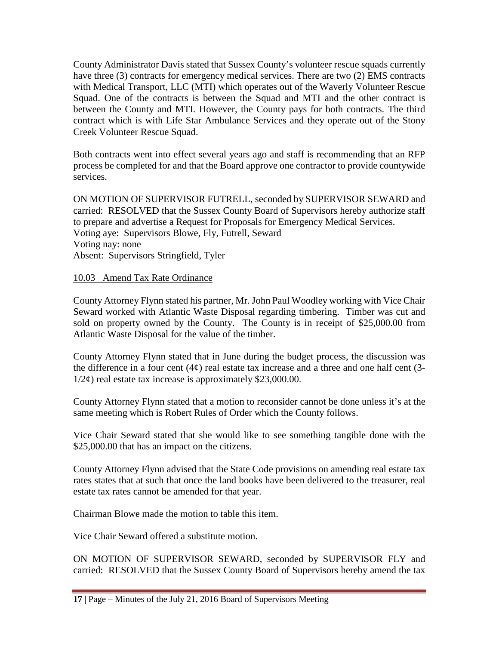County Administrator Davis stated that Sussex County's volunteer rescue squads currently have three (3) contracts for emergency medical services. There are two (2) EMS contracts with Medical Transport, LLC (MTI) which operates out of the Waverly Volunteer Rescue Squad. One of the contracts is between the Squad and MTI and the other contract is between the County and MTI. However, the County pays for both contracts. The third contract which is with Life Star Ambulance Services and they operate out of the Stony Creek Volunteer Rescue Squad.

Both contracts went into effect several years ago and staff is recommending that an RFP process be completed for and that the Board approve one contractor to provide countywide services.

ON MOTION OF SUPERVISOR FUTRELL, seconded by SUPERVISOR SEWARD and carried: RESOLVED that the Sussex County Board of Supervisors hereby authorize staff to prepare and advertise a Request for Proposals for Emergency Medical Services. Voting aye: Supervisors Blowe, Fly, Futrell, Seward Voting nay: none Absent: Supervisors Stringfield, Tyler

### 10.03 Amend Tax Rate Ordinance

County Attorney Flynn stated his partner, Mr. John Paul Woodley working with Vice Chair Seward worked with Atlantic Waste Disposal regarding timbering. Timber was cut and sold on property owned by the County. The County is in receipt of \$25,000.00 from Atlantic Waste Disposal for the value of the timber.

County Attorney Flynn stated that in June during the budget process, the discussion was the difference in a four cent  $(4¢)$  real estate tax increase and a three and one half cent  $(3-)$  $1/2\varphi$ ) real estate tax increase is approximately \$23,000.00.

County Attorney Flynn stated that a motion to reconsider cannot be done unless it's at the same meeting which is Robert Rules of Order which the County follows.

Vice Chair Seward stated that she would like to see something tangible done with the \$25,000.00 that has an impact on the citizens.

County Attorney Flynn advised that the State Code provisions on amending real estate tax rates states that at such that once the land books have been delivered to the treasurer, real estate tax rates cannot be amended for that year.

Chairman Blowe made the motion to table this item.

Vice Chair Seward offered a substitute motion.

ON MOTION OF SUPERVISOR SEWARD, seconded by SUPERVISOR FLY and carried: RESOLVED that the Sussex County Board of Supervisors hereby amend the tax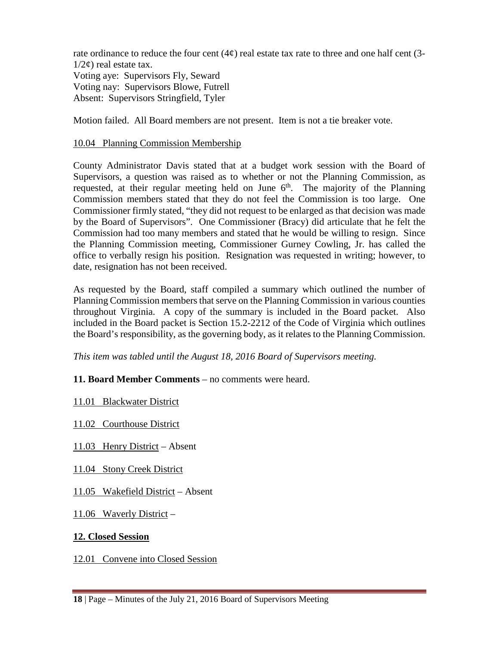rate ordinance to reduce the four cent  $(4¢)$  real estate tax rate to three and one half cent  $(3-)$  $1/2\epsilon$ ) real estate tax. Voting aye: Supervisors Fly, Seward Voting nay: Supervisors Blowe, Futrell Absent: Supervisors Stringfield, Tyler

Motion failed. All Board members are not present. Item is not a tie breaker vote.

### 10.04 Planning Commission Membership

County Administrator Davis stated that at a budget work session with the Board of Supervisors, a question was raised as to whether or not the Planning Commission, as requested, at their regular meeting held on June  $6<sup>th</sup>$ . The majority of the Planning Commission members stated that they do not feel the Commission is too large. One Commissioner firmly stated, "they did not request to be enlarged as that decision was made by the Board of Supervisors". One Commissioner (Bracy) did articulate that he felt the Commission had too many members and stated that he would be willing to resign. Since the Planning Commission meeting, Commissioner Gurney Cowling, Jr. has called the office to verbally resign his position. Resignation was requested in writing; however, to date, resignation has not been received.

As requested by the Board, staff compiled a summary which outlined the number of Planning Commission members that serve on the Planning Commission in various counties throughout Virginia. A copy of the summary is included in the Board packet. Also included in the Board packet is Section 15.2-2212 of the Code of Virginia which outlines the Board's responsibility, as the governing body, as it relates to the Planning Commission.

*This item was tabled until the August 18, 2016 Board of Supervisors meeting.*

# **11. Board Member Comments** – no comments were heard.

11.01 Blackwater District

11.02 Courthouse District

11.03 Henry District – Absent

11.04 Stony Creek District

11.05 Wakefield District – Absent

11.06 Waverly District –

### **12. Closed Session**

12.01 Convene into Closed Session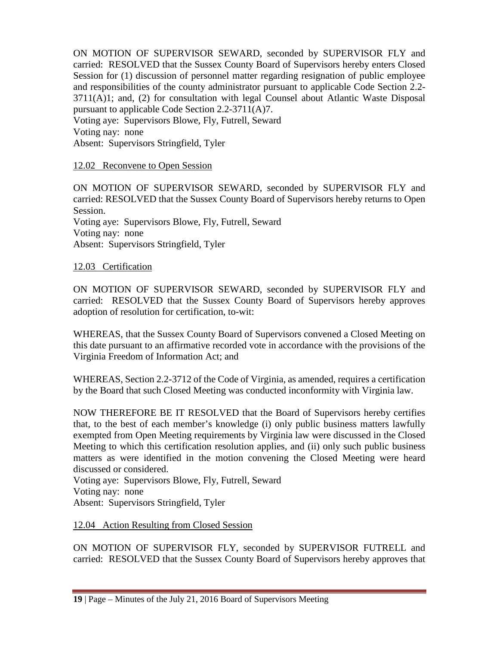ON MOTION OF SUPERVISOR SEWARD, seconded by SUPERVISOR FLY and carried: RESOLVED that the Sussex County Board of Supervisors hereby enters Closed Session for (1) discussion of personnel matter regarding resignation of public employee and responsibilities of the county administrator pursuant to applicable Code Section 2.2- 3711(A)1; and, (2) for consultation with legal Counsel about Atlantic Waste Disposal pursuant to applicable Code Section 2.2-3711(A)7.

Voting aye: Supervisors Blowe, Fly, Futrell, Seward Voting nay: none Absent: Supervisors Stringfield, Tyler

## 12.02 Reconvene to Open Session

ON MOTION OF SUPERVISOR SEWARD, seconded by SUPERVISOR FLY and carried: RESOLVED that the Sussex County Board of Supervisors hereby returns to Open Session. Voting aye: Supervisors Blowe, Fly, Futrell, Seward Voting nay: none Absent: Supervisors Stringfield, Tyler

### 12.03 Certification

ON MOTION OF SUPERVISOR SEWARD, seconded by SUPERVISOR FLY and carried: RESOLVED that the Sussex County Board of Supervisors hereby approves adoption of resolution for certification, to-wit:

WHEREAS, that the Sussex County Board of Supervisors convened a Closed Meeting on this date pursuant to an affirmative recorded vote in accordance with the provisions of the Virginia Freedom of Information Act; and

WHEREAS, Section 2.2-3712 of the Code of Virginia, as amended, requires a certification by the Board that such Closed Meeting was conducted inconformity with Virginia law.

NOW THEREFORE BE IT RESOLVED that the Board of Supervisors hereby certifies that, to the best of each member's knowledge (i) only public business matters lawfully exempted from Open Meeting requirements by Virginia law were discussed in the Closed Meeting to which this certification resolution applies, and (ii) only such public business matters as were identified in the motion convening the Closed Meeting were heard discussed or considered.

Voting aye: Supervisors Blowe, Fly, Futrell, Seward Voting nay: none Absent: Supervisors Stringfield, Tyler

### 12.04 Action Resulting from Closed Session

ON MOTION OF SUPERVISOR FLY, seconded by SUPERVISOR FUTRELL and carried: RESOLVED that the Sussex County Board of Supervisors hereby approves that